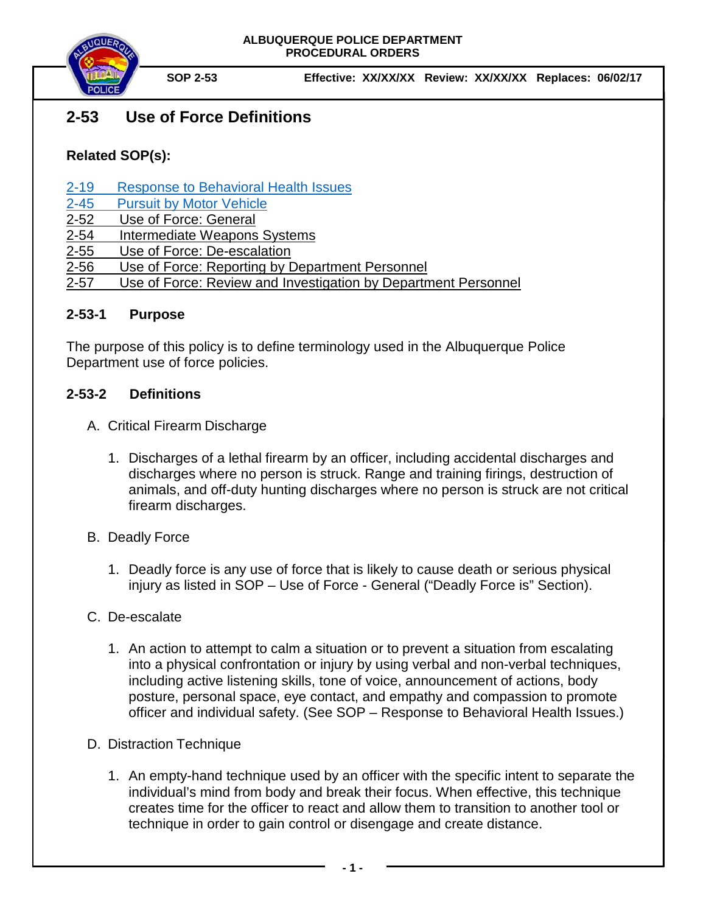

# **2-53 Use of Force Definitions**

## **Related SOP(s):**

- [2-19 Response to Behavioral Health Issues](https://powerdms.com/link/IDS/document/?id=1192186)
- [2-45 Pursuit by Motor Vehicle](https://powerdms.com/link/IDS/document/?id=139)
- [2-52 Use of Force:](https://powerdms.com/docs/135?q=2-52) General
- [2-54 Intermediate](https://powerdms.com/docs/755463?q=2-54) Weapons Systems
- [2-55 Use of Force:](https://powerdms.com/docs/755516?q=2-55) De-escalation
- 2-56 Use of Force: [Reporting by Department Personnel](https://powerdms.com/docs/208?q=2-56)
- 2-57 Use of Force: Review and Investigation by Department Personnel

#### **2-53-1 Purpose**

The purpose of this policy is to define terminology used in the Albuquerque Police Department use of force policies.

#### **2-53-2 Definitions**

- A. Critical Firearm Discharge
	- 1. Discharges of a lethal firearm by an officer, including accidental discharges and discharges where no person is struck. Range and training firings, destruction of animals, and off-duty hunting discharges where no person is struck are not critical firearm discharges.
- B. Deadly Force
	- 1. Deadly force is any use of force that is likely to cause death or serious physical injury as listed in SOP – Use of Force - General ("Deadly Force is" Section).

### C. De-escalate

1. An action to attempt to calm a situation or to prevent a situation from escalating into a physical confrontation or injury by using verbal and non-verbal techniques, including active listening skills, tone of voice, announcement of actions, body posture, personal space, eye contact, and empathy and compassion to promote officer and individual safety. (See SOP – Response to Behavioral Health Issues.)

### D. Distraction Technique

1. An empty-hand technique used by an officer with the specific intent to separate the individual's mind from body and break their focus. When effective, this technique creates time for the officer to react and allow them to transition to another tool or technique in order to gain control or disengage and create distance.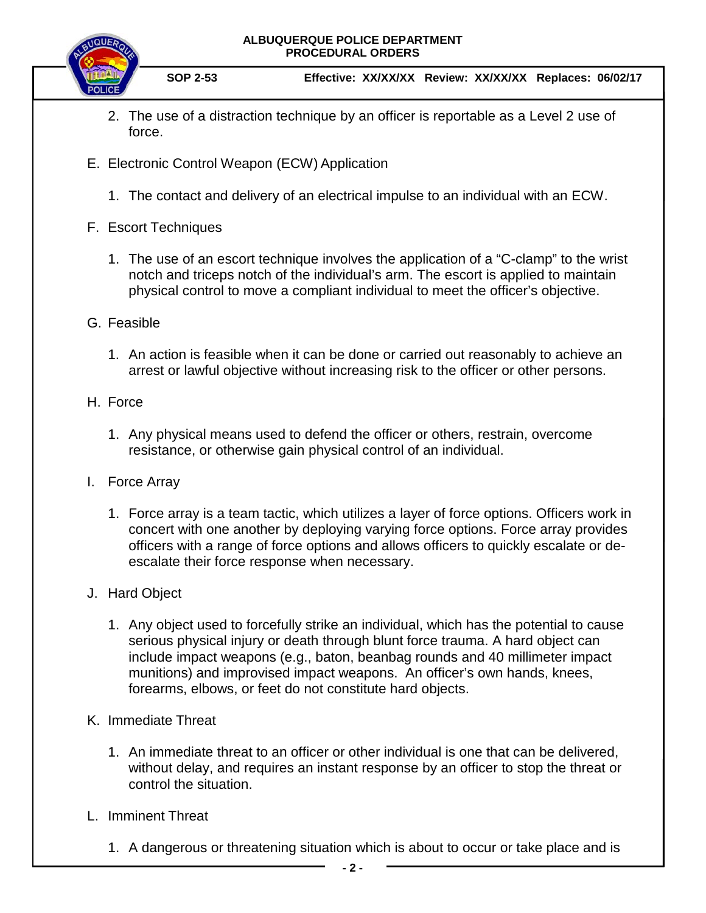**ALBUQUERQUE POLICE DEPARTMENT PROCEDURAL ORDERS**



**SOP 2-53 Effective: XX/XX/XX Review: XX/XX/XX Replaces: 06/02/17**

- 2. The use of a distraction technique by an officer is reportable as a Level 2 use of force.
- E. Electronic Control Weapon (ECW) Application
	- 1. The contact and delivery of an electrical impulse to an individual with an ECW.
- F. Escort Techniques
	- 1. The use of an escort technique involves the application of a "C-clamp" to the wrist notch and triceps notch of the individual's arm. The escort is applied to maintain physical control to move a compliant individual to meet the officer's objective.
- G. Feasible
	- 1. An action is feasible when it can be done or carried out reasonably to achieve an arrest or lawful objective without increasing risk to the officer or other persons.
- H. Force
	- 1. Any physical means used to defend the officer or others, restrain, overcome resistance, or otherwise gain physical control of an individual.
- I. Force Array
	- 1. Force array is a team tactic, which utilizes a layer of force options. Officers work in concert with one another by deploying varying force options. Force array provides officers with a range of force options and allows officers to quickly escalate or deescalate their force response when necessary.
- J. Hard Object
	- 1. Any object used to forcefully strike an individual, which has the potential to cause serious physical injury or death through blunt force trauma. A hard object can include impact weapons (e.g., baton, beanbag rounds and 40 millimeter impact munitions) and improvised impact weapons. An officer's own hands, knees, forearms, elbows, or feet do not constitute hard objects.
- K. Immediate Threat
	- 1. An immediate threat to an officer or other individual is one that can be delivered, without delay, and requires an instant response by an officer to stop the threat or control the situation.
- L. Imminent Threat
	- 1. A dangerous or threatening situation which is about to occur or take place and is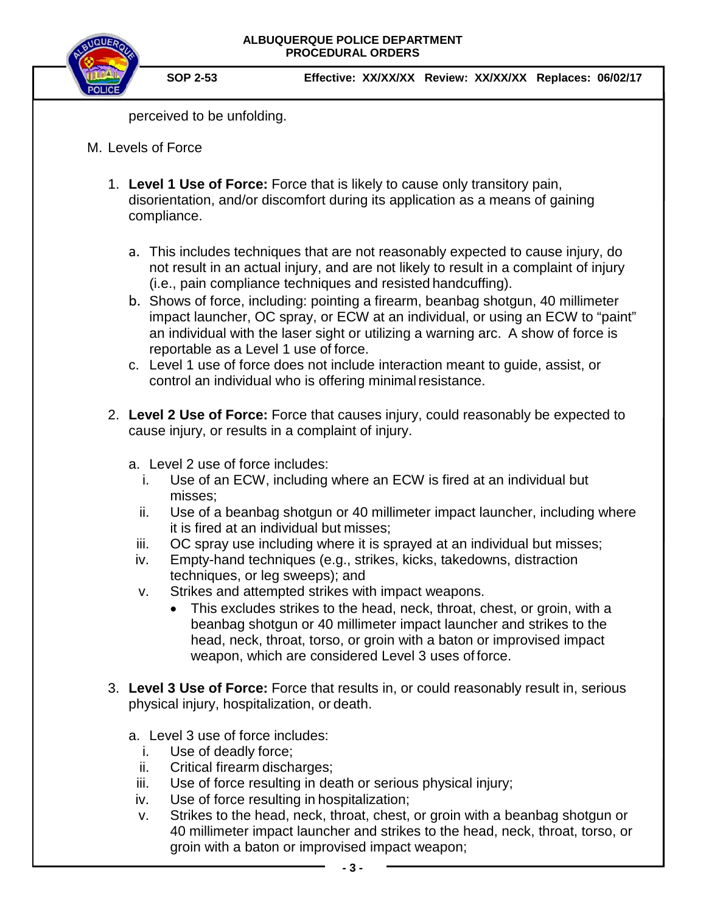

**SOP 2-53 Effective: XX/XX/XX Review: XX/XX/XX Replaces: 06/02/17**

perceived to be unfolding.

- M. Levels of Force
	- 1. **Level 1 Use of Force:** Force that is likely to cause only transitory pain, disorientation, and/or discomfort during its application as a means of gaining compliance.
		- a. This includes techniques that are not reasonably expected to cause injury, do not result in an actual injury, and are not likely to result in a complaint of injury (i.e., pain compliance techniques and resisted handcuffing).
		- b. Shows of force, including: pointing a firearm, beanbag shotgun, 40 millimeter impact launcher, OC spray, or ECW at an individual, or using an ECW to "paint" an individual with the laser sight or utilizing a warning arc. A show of force is reportable as a Level 1 use of force.
		- c. Level 1 use of force does not include interaction meant to guide, assist, or control an individual who is offering minimal resistance.
	- 2. **Level 2 Use of Force:** Force that causes injury, could reasonably be expected to cause injury, or results in a complaint of injury.
		- a. Level 2 use of force includes:
			- i. Use of an ECW, including where an ECW is fired at an individual but misses;
			- ii. Use of a beanbag shotgun or 40 millimeter impact launcher, including where it is fired at an individual but misses;
			- iii. OC spray use including where it is sprayed at an individual but misses;
		- iv. Empty-hand techniques (e.g., strikes, kicks, takedowns, distraction techniques, or leg sweeps); and
		- v. Strikes and attempted strikes with impact weapons.
			- This excludes strikes to the head, neck, throat, chest, or groin, with a beanbag shotgun or 40 millimeter impact launcher and strikes to the head, neck, throat, torso, or groin with a baton or improvised impact weapon, which are considered Level 3 uses of force.
	- 3. **Level 3 Use of Force:** Force that results in, or could reasonably result in, serious physical injury, hospitalization, or death.
		- a. Level 3 use of force includes:
			- i. Use of deadly force;
			- ii. Critical firearm discharges;
			- iii. Use of force resulting in death or serious physical injury;
		- iv. Use of force resulting in hospitalization;
		- v. Strikes to the head, neck, throat, chest, or groin with a beanbag shotgun or 40 millimeter impact launcher and strikes to the head, neck, throat, torso, or groin with a baton or improvised impact weapon;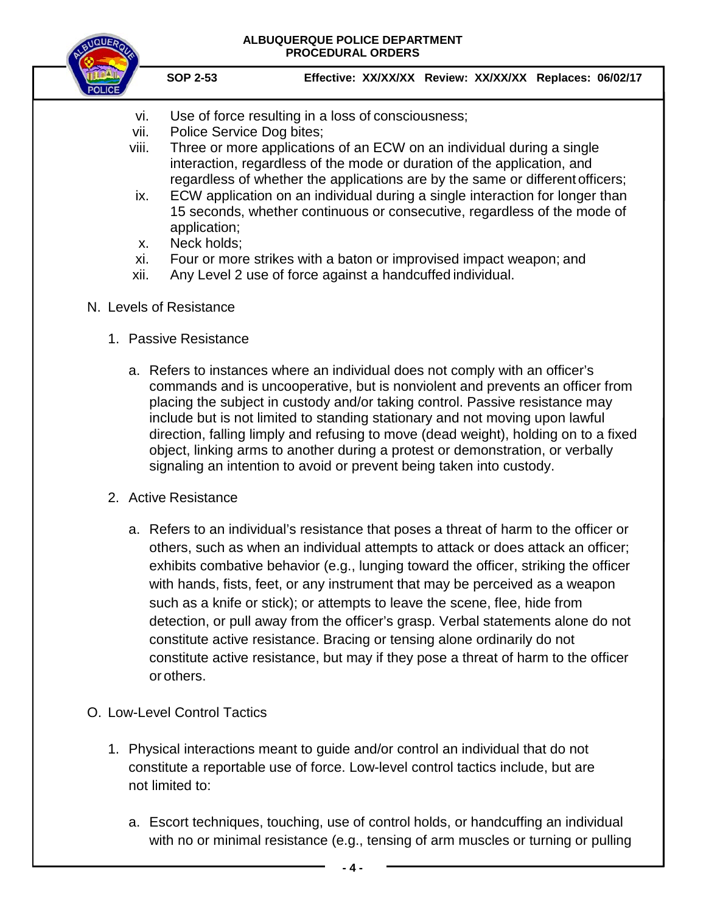

#### **ALBUQUERQUE POLICE DEPARTMENT PROCEDURAL ORDERS**

**SOP 2-53 Effective: XX/XX/XX Review: XX/XX/XX Replaces: 06/02/17**

- vi. Use of force resulting in a loss of consciousness;
- vii. Police Service Dog bites;
- viii. Three or more applications of an ECW on an individual during a single interaction, regardless of the mode or duration of the application, and regardless of whether the applications are by the same or differentofficers;
- ix. ECW application on an individual during a single interaction for longer than 15 seconds, whether continuous or consecutive, regardless of the mode of application;
- x. Neck holds;
- xi. Four or more strikes with a baton or improvised impact weapon; and
- xii. Any Level 2 use of force against a handcuffed individual.
- N. Levels of Resistance
	- 1. Passive Resistance
		- a. Refers to instances where an individual does not comply with an officer's commands and is uncooperative, but is nonviolent and prevents an officer from placing the subject in custody and/or taking control. Passive resistance may include but is not limited to standing stationary and not moving upon lawful direction, falling limply and refusing to move (dead weight), holding on to a fixed object, linking arms to another during a protest or demonstration, or verbally signaling an intention to avoid or prevent being taken into custody.
	- 2. Active Resistance
		- a. Refers to an individual's resistance that poses a threat of harm to the officer or others, such as when an individual attempts to attack or does attack an officer; exhibits combative behavior (e.g., lunging toward the officer, striking the officer with hands, fists, feet, or any instrument that may be perceived as a weapon such as a knife or stick); or attempts to leave the scene, flee, hide from detection, or pull away from the officer's grasp. Verbal statements alone do not constitute active resistance. Bracing or tensing alone ordinarily do not constitute active resistance, but may if they pose a threat of harm to the officer or others.
- O. Low-Level Control Tactics
	- 1. Physical interactions meant to guide and/or control an individual that do not constitute a reportable use of force. Low-level control tactics include, but are not limited to:
		- a. Escort techniques, touching, use of control holds, or handcuffing an individual with no or minimal resistance (e.g., tensing of arm muscles or turning or pulling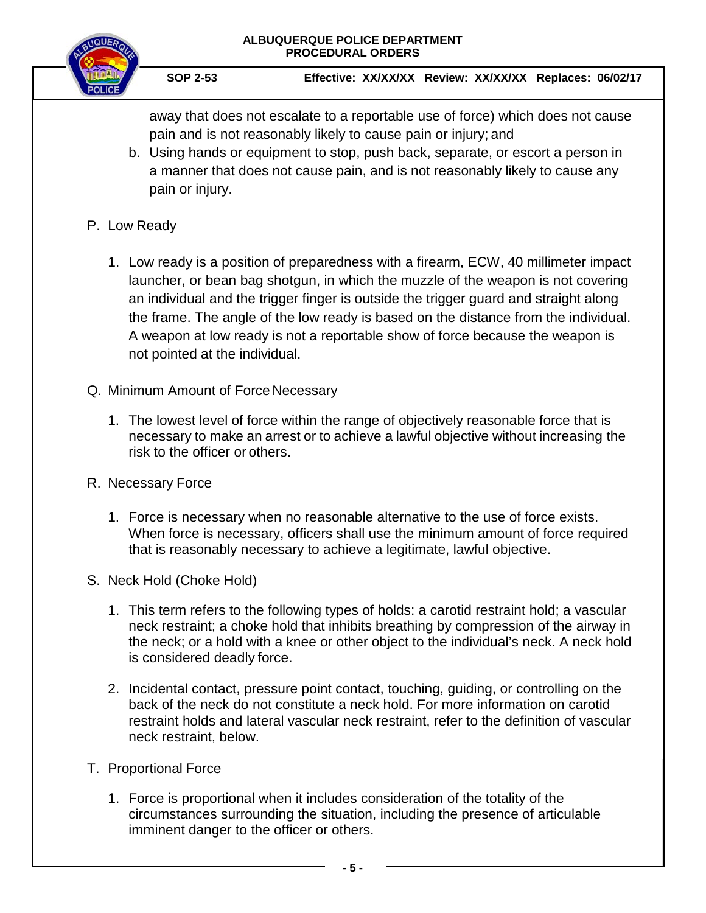



**SOP 2-53 Effective: XX/XX/XX Review: XX/XX/XX Replaces: 06/02/17**

away that does not escalate to a reportable use of force) which does not cause pain and is not reasonably likely to cause pain or injury; and

b. Using hands or equipment to stop, push back, separate, or escort a person in a manner that does not cause pain, and is not reasonably likely to cause any pain or injury.

### P. Low Ready

- 1. Low ready is a position of preparedness with a firearm, ECW, 40 millimeter impact launcher, or bean bag shotgun, in which the muzzle of the weapon is not covering an individual and the trigger finger is outside the trigger guard and straight along the frame. The angle of the low ready is based on the distance from the individual. A weapon at low ready is not a reportable show of force because the weapon is not pointed at the individual.
- Q. Minimum Amount of Force Necessary
	- 1. The lowest level of force within the range of objectively reasonable force that is necessary to make an arrest or to achieve a lawful objective without increasing the risk to the officer or others.
- R. Necessary Force
	- 1. Force is necessary when no reasonable alternative to the use of force exists. When force is necessary, officers shall use the minimum amount of force required that is reasonably necessary to achieve a legitimate, lawful objective.
- S. Neck Hold (Choke Hold)
	- 1. This term refers to the following types of holds: a carotid restraint hold; a vascular neck restraint; a choke hold that inhibits breathing by compression of the airway in the neck; or a hold with a knee or other object to the individual's neck. A neck hold is considered deadly force.
	- 2. Incidental contact, pressure point contact, touching, guiding, or controlling on the back of the neck do not constitute a neck hold. For more information on carotid restraint holds and lateral vascular neck restraint, refer to the definition of vascular neck restraint, below.
- T. Proportional Force
	- 1. Force is proportional when it includes consideration of the totality of the circumstances surrounding the situation, including the presence of articulable imminent danger to the officer or others.